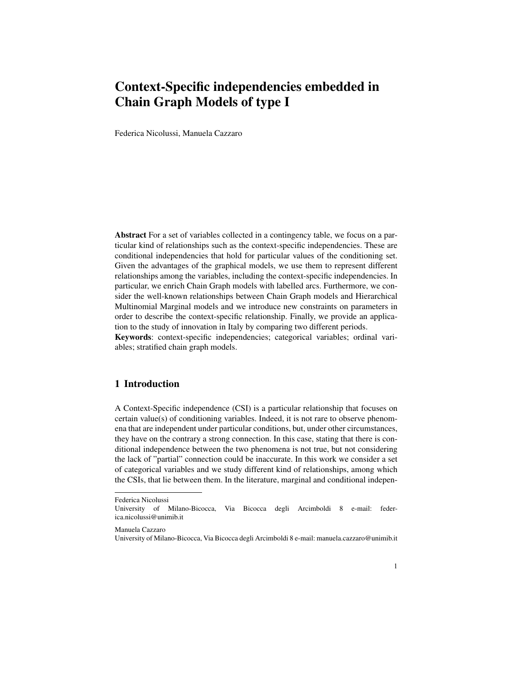# Context-Specific independencies embedded in Chain Graph Models of type I

Federica Nicolussi, Manuela Cazzaro

Abstract For a set of variables collected in a contingency table, we focus on a particular kind of relationships such as the context-specific independencies. These are conditional independencies that hold for particular values of the conditioning set. Given the advantages of the graphical models, we use them to represent different relationships among the variables, including the context-specific independencies. In particular, we enrich Chain Graph models with labelled arcs. Furthermore, we consider the well-known relationships between Chain Graph models and Hierarchical Multinomial Marginal models and we introduce new constraints on parameters in order to describe the context-specific relationship. Finally, we provide an application to the study of innovation in Italy by comparing two different periods. Keywords: context-specific independencies; categorical variables; ordinal vari-

ables; stratified chain graph models.

# 1 Introduction

A Context-Specific independence (CSI) is a particular relationship that focuses on certain value(s) of conditioning variables. Indeed, it is not rare to observe phenomena that are independent under particular conditions, but, under other circumstances, they have on the contrary a strong connection. In this case, stating that there is conditional independence between the two phenomena is not true, but not considering the lack of "partial" connection could be inaccurate. In this work we consider a set of categorical variables and we study different kind of relationships, among which the CSIs, that lie between them. In the literature, marginal and conditional indepen-

Federica Nicolussi

University of Milano-Bicocca, Via Bicocca degli Arcimboldi 8 e-mail: federica.nicolussi@unimib.it

Manuela Cazzaro

University of Milano-Bicocca, Via Bicocca degli Arcimboldi 8 e-mail: manuela.cazzaro@unimib.it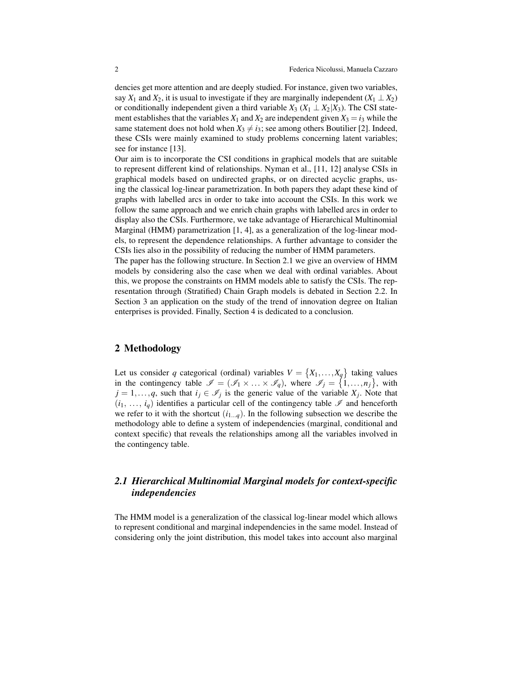dencies get more attention and are deeply studied. For instance, given two variables, say  $X_1$  and  $X_2$ , it is usual to investigate if they are marginally independent  $(X_1 \perp X_2)$ or conditionally independent given a third variable  $X_3$  ( $X_1 \perp X_2 | X_3$ ). The CSI statement establishes that the variables  $X_1$  and  $X_2$  are independent given  $X_3 = i_3$  while the same statement does not hold when  $X_3 \neq i_3$ ; see among others Boutilier [2]. Indeed, these CSIs were mainly examined to study problems concerning latent variables; see for instance [13].

Our aim is to incorporate the CSI conditions in graphical models that are suitable to represent different kind of relationships. Nyman et al., [11, 12] analyse CSIs in graphical models based on undirected graphs, or on directed acyclic graphs, using the classical log-linear parametrization. In both papers they adapt these kind of graphs with labelled arcs in order to take into account the CSIs. In this work we follow the same approach and we enrich chain graphs with labelled arcs in order to display also the CSIs. Furthermore, we take advantage of Hierarchical Multinomial Marginal (HMM) parametrization [1, 4], as a generalization of the log-linear models, to represent the dependence relationships. A further advantage to consider the CSIs lies also in the possibility of reducing the number of HMM parameters.

The paper has the following structure. In Section 2.1 we give an overview of HMM models by considering also the case when we deal with ordinal variables. About this, we propose the constraints on HMM models able to satisfy the CSIs. The representation through (Stratified) Chain Graph models is debated in Section 2.2. In Section 3 an application on the study of the trend of innovation degree on Italian enterprises is provided. Finally, Section 4 is dedicated to a conclusion.

### 2 Methodology

Let us consider *q* categorical (ordinal) variables  $V = \{X_1, \ldots, X_q\}$  taking values in the contingency table  $\mathscr{I} = (\mathscr{I}_1 \times ... \times \mathscr{I}_q)$ , where  $\mathscr{I}_j = \{1,...,n_j\}$ , with  $j = 1, \ldots, q$ , such that  $i_j \in \mathcal{I}_j$  is the generic value of the variable  $X_j$ . Note that  $(i_1, \ldots, i_q)$  identifies a particular cell of the contingency table  $\mathscr I$  and henceforth we refer to it with the shortcut  $(i_{1...q})$ . In the following subsection we describe the methodology able to define a system of independencies (marginal, conditional and context specific) that reveals the relationships among all the variables involved in the contingency table.

# *2.1 Hierarchical Multinomial Marginal models for context-specific independencies*

The HMM model is a generalization of the classical log-linear model which allows to represent conditional and marginal independencies in the same model. Instead of considering only the joint distribution, this model takes into account also marginal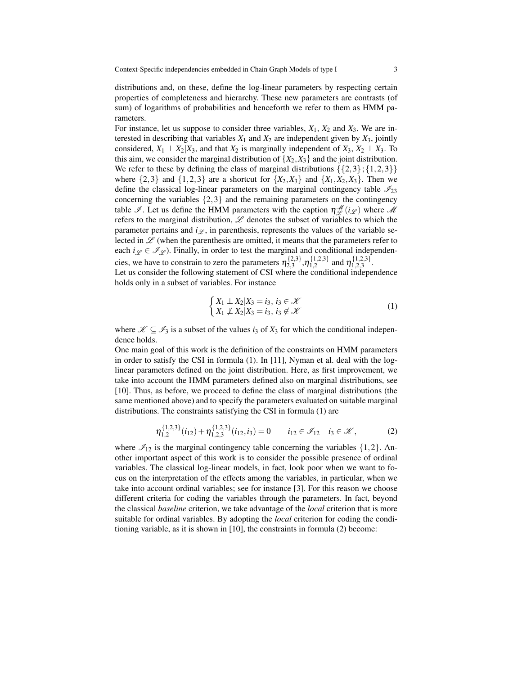distributions and, on these, define the log-linear parameters by respecting certain properties of completeness and hierarchy. These new parameters are contrasts (of sum) of logarithms of probabilities and henceforth we refer to them as HMM parameters.

For instance, let us suppose to consider three variables,  $X_1$ ,  $X_2$  and  $X_3$ . We are interested in describing that variables  $X_1$  and  $X_2$  are independent given by  $X_3$ , jointly considered,  $X_1 \perp X_2 | X_3$ , and that  $X_2$  is marginally independent of  $X_3, X_2 \perp X_3$ . To this aim, we consider the marginal distribution of  $\{X_2, X_3\}$  and the joint distribution. We refer to these by defining the class of marginal distributions  $\{\{2,3\}; \{1,2,3\}\}\$ where  $\{2,3\}$  and  $\{1,2,3\}$  are a shortcut for  $\{X_2, X_3\}$  and  $\{X_1, X_2, X_3\}$ . Then we define the classical log-linear parameters on the marginal contingency table  $\mathcal{I}_{23}$ concerning the variables  $\{2,3\}$  and the remaining parameters on the contingency table  $\mathscr{I}$ . Let us define the HMM parameters with the caption  $\eta_{\mathscr{L}}^{\mathscr{M}}(i_{\mathscr{L}})$  where  $\mathscr{M}$ refers to the marginal distribution,  $\mathscr L$  denotes the subset of variables to which the parameter pertains and  $i_{\mathscr{L}}$ , in parenthesis, represents the values of the variable selected in  $\mathscr L$  (when the parenthesis are omitted, it means that the parameters refer to each  $i_{\mathscr{L}} \in \mathscr{I}_{\mathscr{L}}$ ). Finally, in order to test the marginal and conditional independencies, we have to constrain to zero the parameters  $\eta_{2,3}^{\{2,3\}}$  $\{\begin{matrix}2,3\\2,3\end{matrix}\}, \eta_{1,2}^{\{1,2,3\}}$  $\{1,2,3\}$  and  $\eta_{1,2,3}^{\{1,2,3\}}$  $1,2,3$ 

Let us consider the following statement of CSI where the conditional independence holds only in a subset of variables. For instance

$$
\begin{cases} X_1 \perp X_2 | X_3 = i_3, i_3 \in \mathcal{K} \\ X_1 \not\perp X_2 | X_3 = i_3, i_3 \notin \mathcal{K} \end{cases} \tag{1}
$$

where  $\mathcal{K} \subseteq \mathcal{I}_3$  is a subset of the values *i*<sub>3</sub> of *X*<sub>3</sub> for which the conditional independence holds.

One main goal of this work is the definition of the constraints on HMM parameters in order to satisfy the CSI in formula (1). In [11], Nyman et al. deal with the loglinear parameters defined on the joint distribution. Here, as first improvement, we take into account the HMM parameters defined also on marginal distributions, see [10]. Thus, as before, we proceed to define the class of marginal distributions (the same mentioned above) and to specify the parameters evaluated on suitable marginal distributions. The constraints satisfying the CSI in formula (1) are

$$
\eta_{1,2}^{\{1,2,3\}}(i_{12}) + \eta_{1,2,3}^{\{1,2,3\}}(i_{12},i_3) = 0 \qquad i_{12} \in \mathcal{I}_{12} \quad i_3 \in \mathcal{K},
$$
 (2)

where  $\mathcal{I}_{12}$  is the marginal contingency table concerning the variables  $\{1,2\}$ . Another important aspect of this work is to consider the possible presence of ordinal variables. The classical log-linear models, in fact, look poor when we want to focus on the interpretation of the effects among the variables, in particular, when we take into account ordinal variables; see for instance [3]. For this reason we choose different criteria for coding the variables through the parameters. In fact, beyond the classical *baseline* criterion, we take advantage of the *local* criterion that is more suitable for ordinal variables. By adopting the *local* criterion for coding the conditioning variable, as it is shown in [10], the constraints in formula (2) become: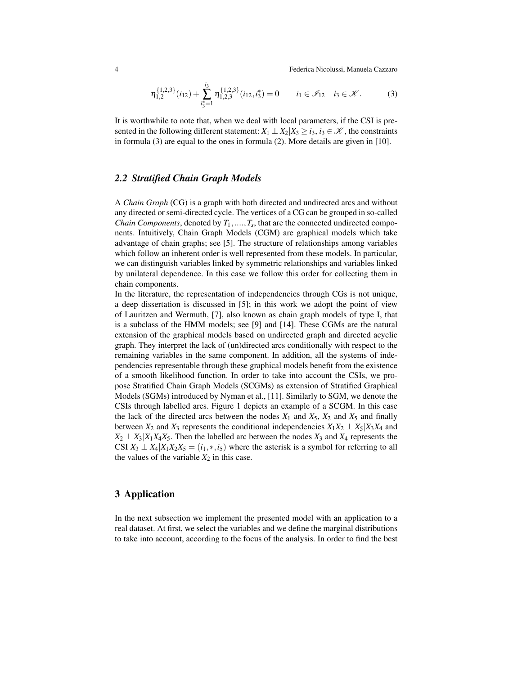4 Federica Nicolussi, Manuela Cazzaro

$$
\eta_{1,2}^{\{1,2,3\}}(i_{12}) + \sum_{i_3^*=1}^{i_3} \eta_{1,2,3}^{\{1,2,3\}}(i_{12}, i_3^*) = 0 \qquad i_1 \in \mathcal{I}_{12} \quad i_3 \in \mathcal{K}.
$$
 (3)

It is worthwhile to note that, when we deal with local parameters, if the CSI is presented in the following different statement:  $X_1 \perp X_2 | X_3 \ge i_3, i_3 \in \mathcal{K}$ , the constraints in formula (3) are equal to the ones in formula (2). More details are given in [10].

## *2.2 Stratified Chain Graph Models*

A *Chain Graph* (CG) is a graph with both directed and undirected arcs and without any directed or semi-directed cycle. The vertices of a CG can be grouped in so-called *Chain Components*, denoted by  $T_1, \ldots, T_s$ , that are the connected undirected components. Intuitively, Chain Graph Models (CGM) are graphical models which take advantage of chain graphs; see [5]. The structure of relationships among variables which follow an inherent order is well represented from these models. In particular, we can distinguish variables linked by symmetric relationships and variables linked by unilateral dependence. In this case we follow this order for collecting them in chain components.

In the literature, the representation of independencies through CGs is not unique, a deep dissertation is discussed in [5]; in this work we adopt the point of view of Lauritzen and Wermuth, [7], also known as chain graph models of type I, that is a subclass of the HMM models; see [9] and [14]. These CGMs are the natural extension of the graphical models based on undirected graph and directed acyclic graph. They interpret the lack of (un)directed arcs conditionally with respect to the remaining variables in the same component. In addition, all the systems of independencies representable through these graphical models benefit from the existence of a smooth likelihood function. In order to take into account the CSIs, we propose Stratified Chain Graph Models (SCGMs) as extension of Stratified Graphical Models (SGMs) introduced by Nyman et al., [11]. Similarly to SGM, we denote the CSIs through labelled arcs. Figure 1 depicts an example of a SCGM. In this case the lack of the directed arcs between the nodes  $X_1$  and  $X_5$ ,  $X_2$  and  $X_5$  and finally between  $X_2$  and  $X_3$  represents the conditional independencies  $X_1X_2 \perp X_5|X_3X_4$  and  $X_2 \perp X_3 | X_1 X_4 X_5$ . Then the labelled arc between the nodes  $X_3$  and  $X_4$  represents the CSI  $X_3 \perp X_4 | X_1 X_2 X_5 = (i_1, *, i_5)$  where the asterisk is a symbol for referring to all the values of the variable  $X_2$  in this case.

## 3 Application

In the next subsection we implement the presented model with an application to a real dataset. At first, we select the variables and we define the marginal distributions to take into account, according to the focus of the analysis. In order to find the best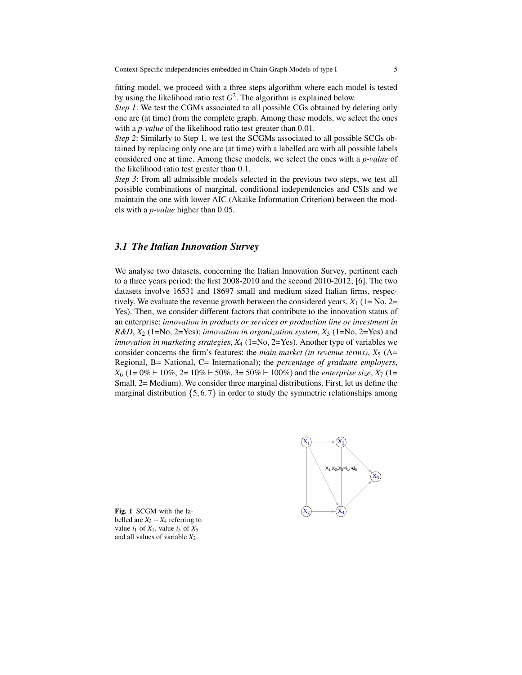fitting model, we proceed with a three steps algorithm where each model is tested by using the likelihood ratio test  $G^2$ . The algorithm is explained below.

*Step 1*: We test the CGMs associated to all possible CGs obtained by deleting only one arc (at time) from the complete graph. Among these models, we select the ones with a *p-value* of the likelihood ratio test greater than 0.01.

*Step 2*: Similarly to Step 1, we test the SCGMs associated to all possible SCGs obtained by replacing only one arc (at time) with a labelled arc with all possible labels considered one at time. Among these models, we select the ones with a *p-value* of the likelihood ratio test greater than 0.1.

*Step 3*: From all admissible models selected in the previous two steps, we test all possible combinations of marginal, conditional independencies and CSIs and we maintain the one with lower AIC (Akaike Information Criterion) between the models with a *p-value* higher than 0.05.

#### *3.1 The Italian Innovation Survey*

We analyse two datasets, concerning the Italian Innovation Survey, pertinent each to a three years period: the first 2008-2010 and the second 2010-2012; [6]. The two datasets involve 16531 and 18697 small and medium sized Italian firms, respectively. We evaluate the revenue growth between the considered years,  $X_1$  (1= No, 2= Yes). Then, we consider different factors that contribute to the innovation status of an enterprise: *innovation in products or services or production line or investment in R&D*, *X*<sup>2</sup> (1=No, 2=Yes); *innovation in organization system*, *X*<sup>3</sup> (1=No, 2=Yes) and *innovation in marketing strategies*,  $X_4$  (1=No, 2=Yes). Another type of variables we consider concerns the firm's features: the *main market (in revenue terms)*,  $X_5$  (A= Regional, B= National, C= International); the *percentage of graduate employers*,  $X_6$  (1= 0%  $\vdash$  10%, 2= 10%  $\vdash$  50%, 3= 50%  $\vdash$  100%) and the *enterprise size*,  $X_7$  (1= Small, 2= Medium). We consider three marginal distributions. First, let us define the marginal distribution  $\{5,6,7\}$  in order to study the symmetric relationships among



Fig. 1 SCGM with the labelled arc  $X_3 - X_4$  referring to value  $i_1$  of  $X_1$ , value  $i_5$  of  $X_5$ and all values of variable  $X_2$ .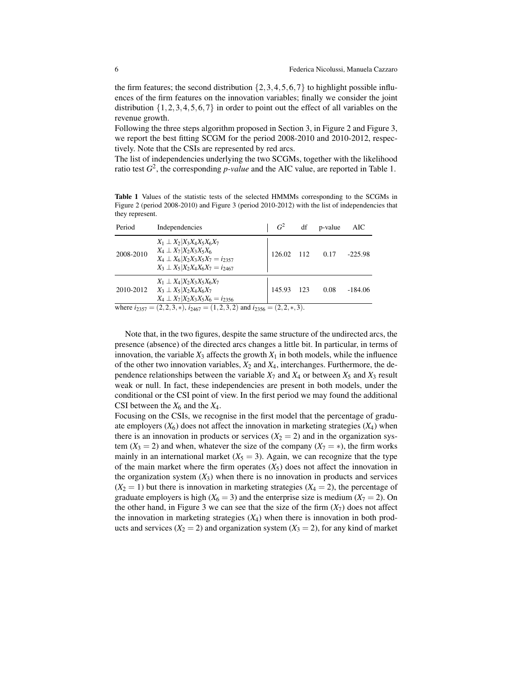the firm features; the second distribution  $\{2,3,4,5,6,7\}$  to highlight possible influences of the firm features on the innovation variables; finally we consider the joint distribution  $\{1,2,3,4,5,6,7\}$  in order to point out the effect of all variables on the revenue growth.

Following the three steps algorithm proposed in Section 3, in Figure 2 and Figure 3, we report the best fitting SCGM for the period 2008-2010 and 2010-2012, respectively. Note that the CSIs are represented by red arcs.

The list of independencies underlying the two SCGMs, together with the likelihood ratio test  $G^2$ , the corresponding *p-value* and the AIC value, are reported in Table 1.

Table 1 Values of the statistic tests of the selected HMMMs corresponding to the SCGMs in Figure 2 (period 2008-2010) and Figure 3 (period 2010-2012) with the list of independencies that they represent.

| Period    | Independencies                                                                                                                                                             | G <sup>2</sup> | df                | p-value | AIC       |
|-----------|----------------------------------------------------------------------------------------------------------------------------------------------------------------------------|----------------|-------------------|---------|-----------|
| 2008-2010 | $X_1 \perp X_2   X_3 X_4 X_5 X_6 X_7$<br>$X_4 \perp X_7   X_2 X_3 X_5 X_6$<br>$X_4 \perp X_6   X_2 X_3 X_5 X_7 = i_{2357}$<br>$X_3 \perp X_5   X_2 X_4 X_6 X_7 = i_{2467}$ | 126.02 112     |                   | 0.17    | $-225.98$ |
| 2010-2012 | $X_1 \perp X_4   X_2 X_3 X_5 X_6 X_7$<br>$X_3 \perp X_5   X_2 X_4 X_6 X_7$<br>$X_4 \perp X_7   X_2 X_3 X_5 X_6 = i_{2356}$                                                 | 145.93         | - 123             | 0.08    | $-184.06$ |
|           |                                                                                                                                                                            | $\sim$ $\sim$  | $\sim$ $\sqrt{ }$ |         |           |

where  $i_{2357} = (2, 2, 3, *)$ ,  $i_{2467} = (1, 2, 3, 2)$  and  $i_{2356} = (2, 2, *, 3)$ .

Note that, in the two figures, despite the same structure of the undirected arcs, the presence (absence) of the directed arcs changes a little bit. In particular, in terms of innovation, the variable  $X_3$  affects the growth  $X_1$  in both models, while the influence of the other two innovation variables,  $X_2$  and  $X_4$ , interchanges. Furthermore, the dependence relationships between the variable  $X_7$  and  $X_4$  or between  $X_5$  and  $X_3$  result weak or null. In fact, these independencies are present in both models, under the conditional or the CSI point of view. In the first period we may found the additional CSI between the  $X_6$  and the  $X_4$ .

Focusing on the CSIs, we recognise in the first model that the percentage of graduate employers  $(X_6)$  does not affect the innovation in marketing strategies  $(X_4)$  when there is an innovation in products or services  $(X_2 = 2)$  and in the organization system  $(X_3 = 2)$  and when, whatever the size of the company  $(X_7 = *)$ , the firm works mainly in an international market  $(X_5 = 3)$ . Again, we can recognize that the type of the main market where the firm operates  $(X_5)$  does not affect the innovation in the organization system  $(X_3)$  when there is no innovation in products and services  $(X_2 = 1)$  but there is innovation in marketing strategies  $(X_4 = 2)$ , the percentage of graduate employers is high  $(X_6 = 3)$  and the enterprise size is medium  $(X_7 = 2)$ . On the other hand, in Figure 3 we can see that the size of the firm  $(X_7)$  does not affect the innovation in marketing strategies  $(X_4)$  when there is innovation in both products and services  $(X_2 = 2)$  and organization system  $(X_3 = 2)$ , for any kind of market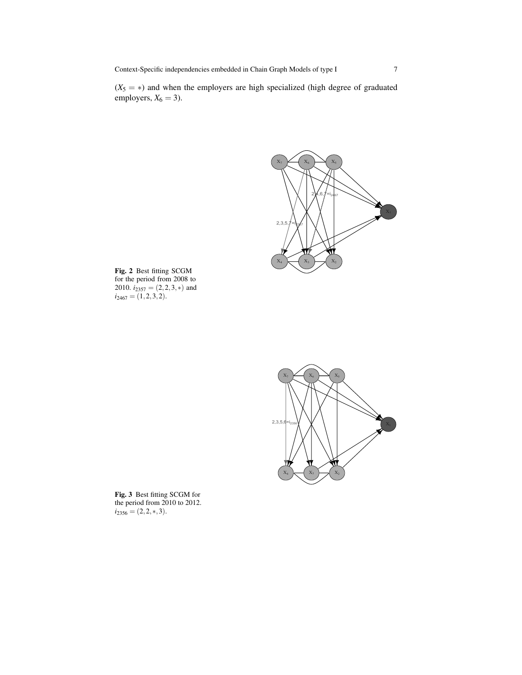Context-Specific independencies embedded in Chain Graph Models of type I 7

 $(X_5 = *)$  and when the employers are high specialized (high degree of graduated employers,  $X_6 = 3$ ).



Fig. 2 Best fitting SCGM for the period from 2008 to 2010.  $i_{2357} = (2, 2, 3, *)$  and  $i_{2467} = (1,2,3,2).$ 



Fig. 3 Best fitting SCGM for the period from 2010 to 2012.  $i_{2356} = (2, 2, *, 3).$